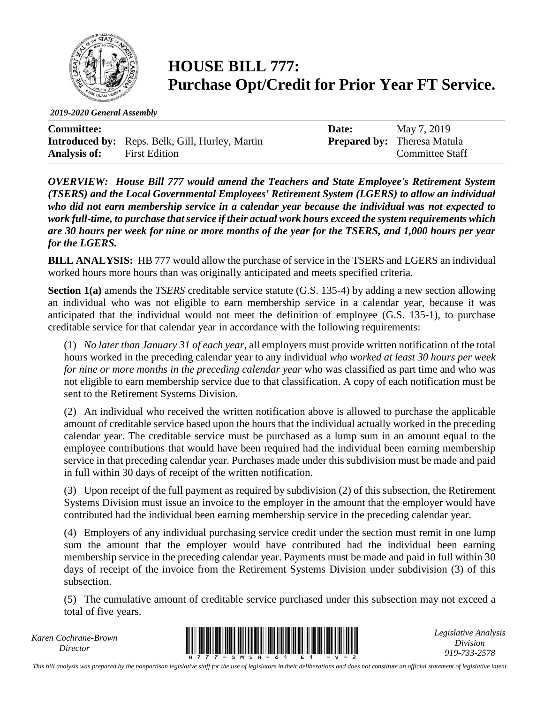

## **HOUSE BILL 777: Purchase Opt/Credit for Prior Year FT Service.**

*2019-2020 General Assembly*

| <b>Committee:</b>   |                                                        | Date: | May 7, 2019                        |
|---------------------|--------------------------------------------------------|-------|------------------------------------|
|                     | <b>Introduced by:</b> Reps. Belk, Gill, Hurley, Martin |       | <b>Prepared by:</b> Theresa Matula |
| <b>Analysis of:</b> | <b>First Edition</b>                                   |       | <b>Committee Staff</b>             |

*OVERVIEW: House Bill 777 would amend the Teachers and State Employee's Retirement System (TSERS) and the Local Governmental Employees' Retirement System (LGERS) to allow an individual who did not earn membership service in a calendar year because the individual was not expected to work full-time, to purchase that service if their actual work hours exceed the system requirements which are 30 hours per week for nine or more months of the year for the TSERS, and 1,000 hours per year for the LGERS.* 

**BILL ANALYSIS:** HB 777 would allow the purchase of service in the TSERS and LGERS an individual worked hours more hours than was originally anticipated and meets specified criteria.

**Section 1(a)** amends the *TSERS* creditable service statute (G.S. 135-4) by adding a new section allowing an individual who was not eligible to earn membership service in a calendar year, because it was anticipated that the individual would not meet the definition of employee (G.S. 135-1), to purchase creditable service for that calendar year in accordance with the following requirements:

(1) *No later than January 31 of each year*, all employers must provide written notification of the total hours worked in the preceding calendar year to any individual *who worked at least 30 hours per week for nine or more months in the preceding calendar year* who was classified as part time and who was not eligible to earn membership service due to that classification. A copy of each notification must be sent to the Retirement Systems Division.

(2) An individual who received the written notification above is allowed to purchase the applicable amount of creditable service based upon the hours that the individual actually worked in the preceding calendar year. The creditable service must be purchased as a lump sum in an amount equal to the employee contributions that would have been required had the individual been earning membership service in that preceding calendar year. Purchases made under this subdivision must be made and paid in full within 30 days of receipt of the written notification.

(3) Upon receipt of the full payment as required by subdivision (2) of this subsection, the Retirement Systems Division must issue an invoice to the employer in the amount that the employer would have contributed had the individual been earning membership service in the preceding calendar year.

(4) Employers of any individual purchasing service credit under the section must remit in one lump sum the amount that the employer would have contributed had the individual been earning membership service in the preceding calendar year. Payments must be made and paid in full within 30 days of receipt of the invoice from the Retirement Systems Division under subdivision (3) of this subsection.

(5) The cumulative amount of creditable service purchased under this subsection may not exceed a total of five years.

*Karen Cochrane-Brown*



*Legislative Analysis Division 919-733-2578*

*This bill analysis was prepared by the nonpartisan legislative staff for the use of legislators in their deliberations and does not constitute an official statement of legislative intent.*